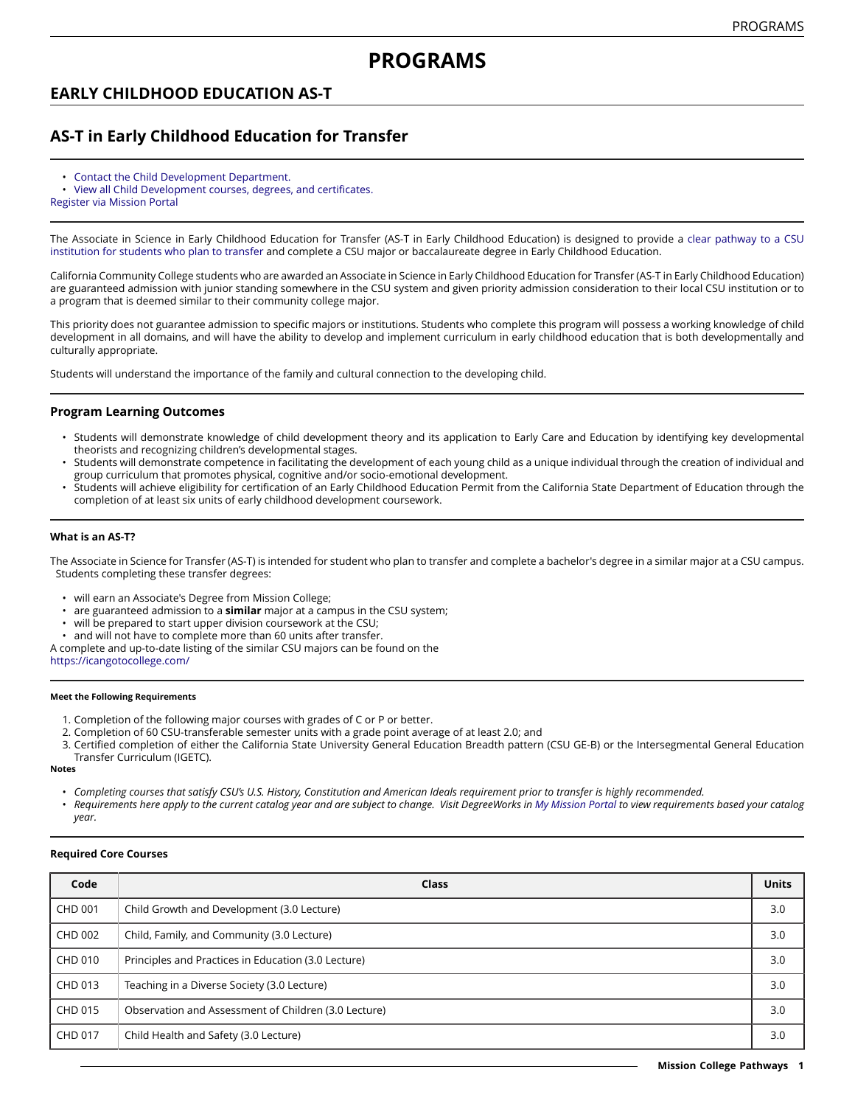# **EARLY CHILDHOOD EDUCATION AS-T**

# **AS-T in Early Childhood Education for Transfer**

- Contact the Child [Development](https://missioncollege.edu/depts/child-development/) Department.
- View all Child [Development](http://majors.missioncollege.edu/current/courses/chd.html) courses, degrees, and certificates.
- [Register via Mission Portal](https://web.wvm.edu/)

The Associate in Science in Early Childhood Education for Transfer (AS-T in Early Childhood Education) is designed to provide a [clear pathway to a CSU](https://missioncollege.edu/student_services/transfer) [institution](https://missioncollege.edu/student_services/transfer) for students who plan to transfer and complete a CSU major or baccalaureate degree in Early Childhood Education.

California Community College students who are awarded an Associate in Science in Early Childhood Education for Transfer (AS-T in Early Childhood Education) are guaranteed admission with junior standing somewhere in the CSU system and given priority admission consideration to their local CSU institution or to a program that is deemed similar to their community college major.

This priority does not guarantee admission to specific majors or institutions. Students who complete this program will possess a working knowledge of child development in all domains, and will have the ability to develop and implement curriculum in early childhood education that is both developmentally and culturally appropriate.

Students will understand the importance of the family and cultural connection to the developing child.

### **Program Learning Outcomes**

- Students will demonstrate knowledge of child development theory and its application to Early Care and Education by identifying key developmental theorists and recognizing children's developmental stages.
- Students will demonstrate competence in facilitating the development of each young child as a unique individual through the creation of individual and group curriculum that promotes physical, cognitive and/or socio-emotional development.
- Students will achieve eligibility for certification of an Early Childhood Education Permit from the California State Department of Education through the completion of at least six units of early childhood development coursework.

#### **What is an AS-T?**

The Associate in Science for Transfer (AS-T) is intended for student who plan to transfer and complete a bachelor's degree in a similar major at a CSU campus. Students completing these transfer degrees:

- will earn an Associate's Degree from Mission College;
- are guaranteed admission to a **similar** major at a campus in the CSU system;
- will be prepared to start upper division coursework at the CSU;
- and will not have to complete more than 60 units after transfer.
- A complete and up-to-date listing of the similar CSU majors can be found on the

<https://icangotocollege.com/>

### **Meet the Following Requirements**

- 1. Completion of the following major courses with grades of C or P or better.
- 2. Completion of 60 CSU-transferable semester units with a grade point average of at least 2.0; and
- 3. Certified completion of either the California State University General Education Breadth pattern (CSU GE-B) or the Intersegmental General Education Transfer Curriculum (IGETC).

**Notes**

- Completing courses that satisfy CSU's U.S. History, Constitution and American Ideals requirement prior to transfer is highly recommended.
- Requirements here apply to the current catalog year and are subject to change. Visit DegreeWorks in [My Mission Portal](https://wvmccd.sharepoint.com/sites/MCPortal) to view requirements based your catalog *year.*

#### **Required Core Courses**

| Code    | Class                                                | <b>Units</b> |
|---------|------------------------------------------------------|--------------|
| CHD 001 | Child Growth and Development (3.0 Lecture)           | 3.0          |
| CHD 002 | Child, Family, and Community (3.0 Lecture)           | 3.0          |
| CHD 010 | Principles and Practices in Education (3.0 Lecture)  | 3.0          |
| CHD 013 | Teaching in a Diverse Society (3.0 Lecture)          | 3.0          |
| CHD 015 | Observation and Assessment of Children (3.0 Lecture) | 3.0          |
| CHD 017 | Child Health and Safety (3.0 Lecture)                | 3.0          |